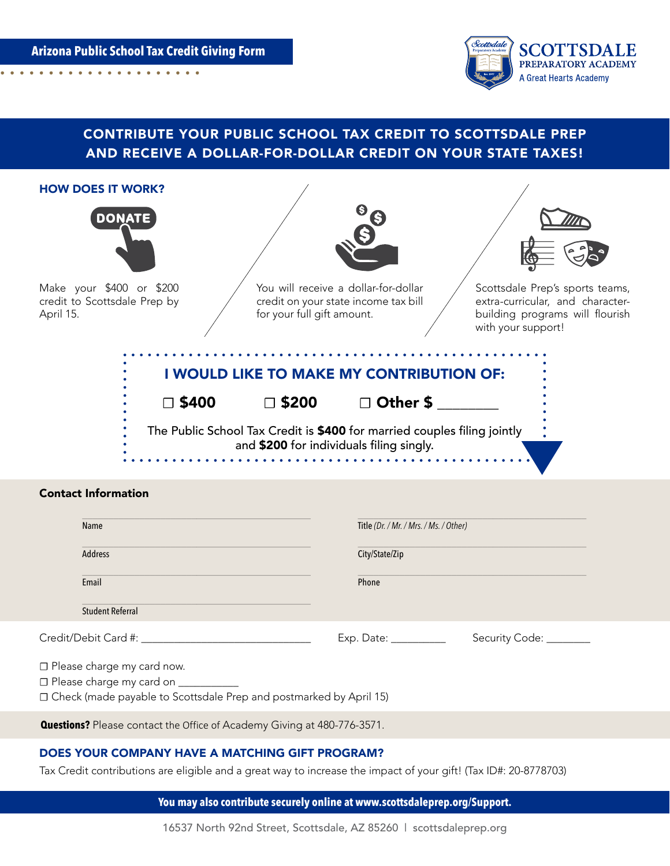**Arizona Public School Tax Credit Giving Form**. . . . . . . . . . .



## CONTRIBUTE YOUR PUBLIC SCHOOL TAX CREDIT TO SCOTTSDALE PREP AND RECEIVE A DOLLAR-FOR-DOLLAR CREDIT ON YOUR STATE TAXES!





Make your \$400 or \$200 credit to Scottsdale Prep by April 15.



You will receive a dollar-for-dollar credit on your state income tax bill for your full gift amount.



Scottsdale Prep's sports teams, extra-curricular, and characterbuilding programs will flourish with your support!

. . . . . . . .

|                 |              | I WOULD LIKE TO MAKE MY CONTRIBUTION OF:                                                                             |
|-----------------|--------------|----------------------------------------------------------------------------------------------------------------------|
| $\square$ \$400 | $\Box$ \$200 | □ Other \$                                                                                                           |
|                 |              | The Public School Tax Credit is \$400 for married couples filing jointly<br>and \$200 for individuals filing singly. |

## Contact Information

| Name                                                                                                                                          | Title (Dr. / Mr. / Mrs. / Ms. / Other)                |                         |
|-----------------------------------------------------------------------------------------------------------------------------------------------|-------------------------------------------------------|-------------------------|
| Address                                                                                                                                       | City/State/Zip                                        |                         |
| Email                                                                                                                                         | Phone                                                 |                         |
| <b>Student Referral</b>                                                                                                                       |                                                       |                         |
| Credit/Debit Card #:                                                                                                                          | $Exp.$ Date: $\_\_\_\_\_\_\_\_\_\_\_\_\_\_\_\_\_\_\_$ | Security Code: ________ |
| □ Please charge my card now.<br>□ Please charge my card on __________<br>□ Check (made payable to Scottsdale Prep and postmarked by April 15) |                                                       |                         |

**Questions?** Please contact the Office of Academy Giving at 480-776-3571.

### DOES YOUR COMPANY HAVE A MATCHING GIFT PROGRAM?

Tax Credit contributions are eligible and a great way to increase the impact of your gift! (Tax ID#: 20-8778703)

**You may also contribute securely online at www.scottsdaleprep.org/Support.**